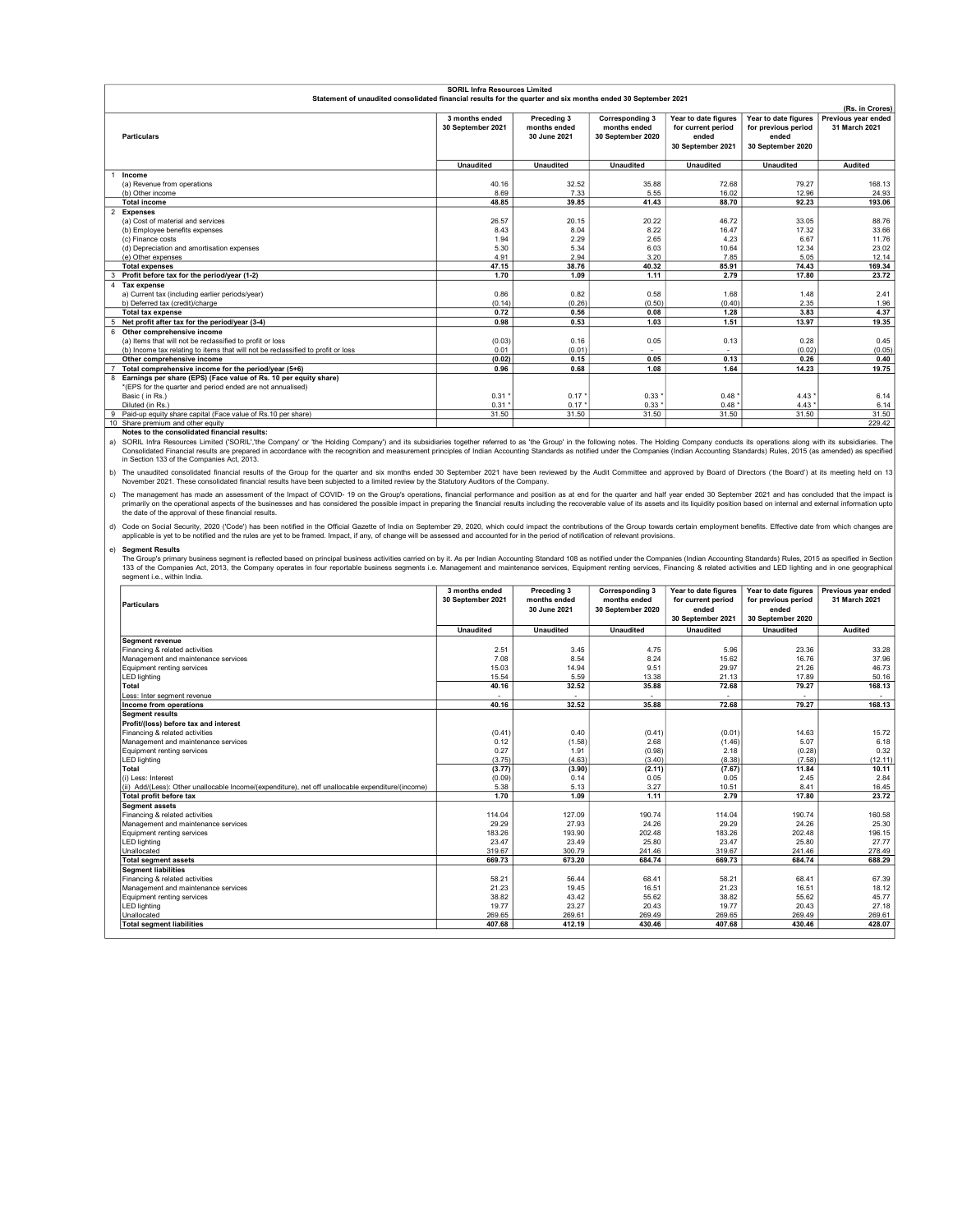| <b>SORIL Infra Resources Limited</b>                                                                         |                   |                  |                        |                      |                      |                     |
|--------------------------------------------------------------------------------------------------------------|-------------------|------------------|------------------------|----------------------|----------------------|---------------------|
| Statement of unaudited consolidated financial results for the quarter and six months ended 30 September 2021 |                   |                  |                        |                      |                      |                     |
|                                                                                                              |                   |                  |                        |                      |                      | (Rs. in Crores)     |
|                                                                                                              | 3 months ended    | Preceding 3      | <b>Corresponding 3</b> | Year to date figures | Year to date figures | Previous year ended |
|                                                                                                              | 30 September 2021 | months ended     | months ended           | for current period   | for previous period  | 31 March 2021       |
| <b>Particulars</b>                                                                                           |                   | 30 June 2021     | 30 September 2020      | ended                | ended                |                     |
|                                                                                                              |                   |                  |                        | 30 September 2021    | 30 September 2020    |                     |
|                                                                                                              |                   |                  |                        |                      |                      |                     |
|                                                                                                              | <b>Unaudited</b>  | <b>Unaudited</b> | <b>Unaudited</b>       | <b>Unaudited</b>     | <b>Unaudited</b>     | <b>Audited</b>      |
| Income                                                                                                       |                   |                  |                        |                      |                      |                     |
| (a) Revenue from operations                                                                                  | 40.16             | 32.52            | 35.88                  | 72.68                | 79.27                | 168.13              |
| (b) Other income                                                                                             | 8.69              | 7.33             | 5.55                   | 16.02                | 12.96                | 24.93               |
| <b>Total income</b>                                                                                          | 48.85             | 39.85            | 41.43                  | 88.70                | 92.23                | 193.06              |
| <b>Expenses</b>                                                                                              |                   |                  |                        |                      |                      |                     |
| (a) Cost of material and services                                                                            | 26.57             | 20.15            | 20.22                  | 46.72                | 33.05                | 88.76               |
| (b) Employee benefits expenses                                                                               | 8.43              | 8.04             | 8.22                   | 16.47                | 17.32                | 33.66               |
| (c) Finance costs                                                                                            | 1.94              | 2.29             | 2.65                   | 4.23                 | 6.67                 | 11.76               |
| (d) Depreciation and amortisation expenses                                                                   | 5.30              | 5.34             | 6.03                   | 10.64                | 12.34                | 23.02               |
| (e) Other expenses                                                                                           | 4.91              | 2.94             | 3.20                   | 7.85                 | 5.05                 | 12.14               |
| <b>Total expenses</b>                                                                                        | 47.15             | 38.76            | 40.32                  | 85.91                | 74.43                | 169.34              |
| Profit before tax for the period/year (1-2)                                                                  | 1.70              | 1.09             | 1.11                   | 2.79                 | 17.80                | 23.72               |
| 4 Tax expense                                                                                                |                   |                  |                        |                      |                      |                     |
| a) Current tax (including earlier periods/year)                                                              | 0.86              | 0.82             | 0.58                   | 1.68                 | 1.48                 | 2.41                |
| b) Deferred tax (credit)/charge                                                                              | (0.14)            | (0.26)           | (0.50)                 | (0.40)               | 2.35                 | 1.96                |
| <b>Total tax expense</b>                                                                                     | 0.72              | 0.56             | 0.08                   | 1.28                 | 3.83                 | 4.37                |
| Net profit after tax for the period/year (3-4)<br>5                                                          | 0.98              | 0.53             | 1.03                   | 1.51                 | 13.97                | 19.35               |
| 6 Other comprehensive income                                                                                 |                   |                  |                        |                      |                      |                     |
| (a) Items that will not be reclassified to profit or loss                                                    | (0.03)            | 0.16             | 0.05                   | 0.13                 | 0.28                 | 0.45                |
| (b) Income tax relating to items that will not be reclassified to profit or loss                             | 0.01              | (0.01)           |                        |                      | (0.02)               | (0.05)              |
| Other comprehensive income                                                                                   | (0.02)            | 0.15             | 0.05                   | 0.13                 | 0.26                 | 0.40                |
| Total comprehensive income for the period/year (5+6)                                                         | 0.96              | 0.68             | 1.08                   | 1.64                 | 14.23                | 19.75               |
| 8 Earnings per share (EPS) (Face value of Rs. 10 per equity share)                                           |                   |                  |                        |                      |                      |                     |
| *(EPS for the quarter and period ended are not annualised)                                                   |                   |                  |                        |                      |                      |                     |
| Basic (in Rs.)                                                                                               | 0.31              | $0.17*$          | 0.33                   | 0.48                 | 4.43'                | 6.14                |
| Diluted (in Rs.)                                                                                             | $0.31$ *          | $0.17*$          | 0.33'                  | 0.48                 | $4.43*$              | 6.14                |
| 9 Paid-up equity share capital (Face value of Rs.10 per share)                                               | 31.50             | 31.50            | 31.50                  | 31.50                | 31.50                | 31.50               |
| 10 Share premium and other equity                                                                            |                   |                  |                        |                      |                      | 229.42              |

Notes to the consolidated financial results:

Notes to the consolidated financial results:<br>A) SORIL Infra Resources Limitation ('SORIL','the Company' or 'the Holding Company') and its subsidiaries together referred to as 'the Group' in the following notes. The Holding

b) The unaudited consolidated financial results of the Group for the quarter and six months ended 30 September 2021 have been reviewed by the Audit Committee and approved by Board of Directors ('the Board') at its meeting

c) The management has made an assessment of the Impact of COVID- 19 on the Group's operations, financial performance and position as at end for the quarter and half year ended 30 September 2021 and has concluded that the i primarily on the operational aspects of the businesses and has considered the possible impact in preparing the financial results including the recoverable value of its assets and its liquidity position based on internal an

d) Code on Social Security, 2020 ('Code') has been notified in the Official Gazette of India on September 29, 2020, which could impact the contributions of the Group towards certain employment benefits. Effective date from

## Segment Results

e) Segment Results<br>The Group's primary business segment is reflected based on principal business activities carried on by it. As per Indian Accounting Standard 108 as notified under the Companies (Indian Accounting Standar

| <b>Particulars</b>                                                                                | 3 months ended<br>30 September 2021 | Preceding 3<br>months ended<br>30 June 2021 | <b>Corresponding 3</b><br>months ended<br>30 September 2020 | Year to date figures<br>for current period<br>ended<br>30 September 2021 | Year to date figures<br>for previous period<br>ended<br>30 September 2020 | Previous year ended<br>31 March 2021 |
|---------------------------------------------------------------------------------------------------|-------------------------------------|---------------------------------------------|-------------------------------------------------------------|--------------------------------------------------------------------------|---------------------------------------------------------------------------|--------------------------------------|
|                                                                                                   | <b>Unaudited</b>                    | <b>Unaudited</b>                            | <b>Unaudited</b>                                            | <b>Unaudited</b>                                                         | <b>Unaudited</b>                                                          | Audited                              |
| <b>Segment revenue</b>                                                                            |                                     |                                             |                                                             |                                                                          |                                                                           |                                      |
| Financing & related activities                                                                    | 2.51                                | 3.45                                        | 4.75                                                        | 5.96                                                                     | 23.36                                                                     | 33.28                                |
| Management and maintenance services                                                               | 7.08                                | 8.54                                        | 8.24                                                        | 15.62                                                                    | 16.76                                                                     | 37.96                                |
| Equipment renting services                                                                        | 15.03                               | 14.94                                       | 9.51                                                        | 29.97                                                                    | 21.26                                                                     | 46.73                                |
| <b>LED lighting</b>                                                                               | 15.54                               | 5.59                                        | 13.38                                                       | 21.13                                                                    | 17.89                                                                     | 50.16                                |
| <b>Total</b>                                                                                      | 40.16                               | 32.52                                       | 35.88                                                       | 72.68                                                                    | 79.27                                                                     | 168.13                               |
| Less: Inter seament revenue                                                                       |                                     |                                             |                                                             |                                                                          |                                                                           | $\sim$                               |
| Income from operations                                                                            | 40.16                               | 32.52                                       | 35.88                                                       | 72.68                                                                    | 79.27                                                                     | 168.13                               |
| <b>Segment results</b>                                                                            |                                     |                                             |                                                             |                                                                          |                                                                           |                                      |
| Profit/(loss) before tax and interest                                                             |                                     |                                             |                                                             |                                                                          |                                                                           |                                      |
| Financing & related activities                                                                    | (0.41)                              | 0.40                                        | (0.41)                                                      | (0.01)                                                                   | 14.63                                                                     | 15.72                                |
| Management and maintenance services                                                               | 0.12                                | (1.58)                                      | 2.68                                                        | (1.46)                                                                   | 5.07                                                                      | 6.18                                 |
| Equipment renting services                                                                        | 0.27                                | 1.91                                        | (0.98)                                                      | 2.18                                                                     | (0.28)                                                                    | 0.32                                 |
| <b>LED lighting</b>                                                                               | (3.75)                              | (4.63)                                      | (3.40)                                                      | (8.38)                                                                   | (7.58)                                                                    | (12.11)                              |
| <b>Total</b>                                                                                      | (3.77)                              | (3.90)                                      | (2.11)                                                      | (7.67)                                                                   | 11.84                                                                     | 10.11                                |
| (i) Less: Interest                                                                                | (0.09)                              | 0.14                                        | 0.05                                                        | 0.05                                                                     | 2.45                                                                      | 2.84                                 |
| (ii) Add/(Less): Other unallocable Income/(expenditure), net off unallocable expenditure/(income) | 5.38                                | 5.13                                        | 3.27                                                        | 10.51                                                                    | 8.41                                                                      | 16.45                                |
| Total profit before tax                                                                           | 1.70                                | 1.09                                        | 1.11                                                        | 2.79                                                                     | 17.80                                                                     | 23.72                                |
| <b>Seament assets</b>                                                                             |                                     |                                             |                                                             |                                                                          |                                                                           |                                      |
| Financing & related activities                                                                    | 114.04                              | 127.09                                      | 190.74                                                      | 114.04                                                                   | 190.74                                                                    | 160.58                               |
| Management and maintenance services                                                               | 29.29                               | 27.93                                       | 24.26                                                       | 29.29                                                                    | 24.26                                                                     | 25.30                                |
| Equipment renting services                                                                        | 183.26                              | 193.90                                      | 202.48                                                      | 183.26                                                                   | 202.48                                                                    | 196.15                               |
| <b>LED lighting</b>                                                                               | 23.47                               | 23.49                                       | 25.80                                                       | 23.47                                                                    | 25.80                                                                     | 27.77                                |
| Unallocated                                                                                       | 319.67                              | 300.79                                      | 241.46                                                      | 319.67                                                                   | 241.46                                                                    | 278.49                               |
| <b>Total segment assets</b>                                                                       | 669.73                              | 673.20                                      | 684.74                                                      | 669.73                                                                   | 684.74                                                                    | 688.29                               |
| <b>Seament liabilities</b>                                                                        |                                     |                                             |                                                             |                                                                          |                                                                           |                                      |
| Financing & related activities                                                                    | 58.21                               | 56.44                                       | 68.41                                                       | 58.21                                                                    | 68.41                                                                     | 67.39                                |
| Management and maintenance services                                                               | 21.23                               | 19.45                                       | 16.51                                                       | 21.23                                                                    | 16.51                                                                     | 18.12                                |
| Equipment renting services                                                                        | 38.82                               | 43.42                                       | 55.62                                                       | 38.82                                                                    | 55.62                                                                     | 45.77                                |
| <b>LED lighting</b>                                                                               | 19.77                               | 23.27                                       | 20.43                                                       | 19.77                                                                    | 20.43                                                                     | 27.18                                |
| Unallocated                                                                                       | 269.65                              | 269.61                                      | 269.49                                                      | 269.65                                                                   | 269.49                                                                    | 269.61                               |
| <b>Total segment liabilities</b>                                                                  | 407.68                              | 412.19                                      | 430.46                                                      | 407.68                                                                   | 430.46                                                                    | 428.07                               |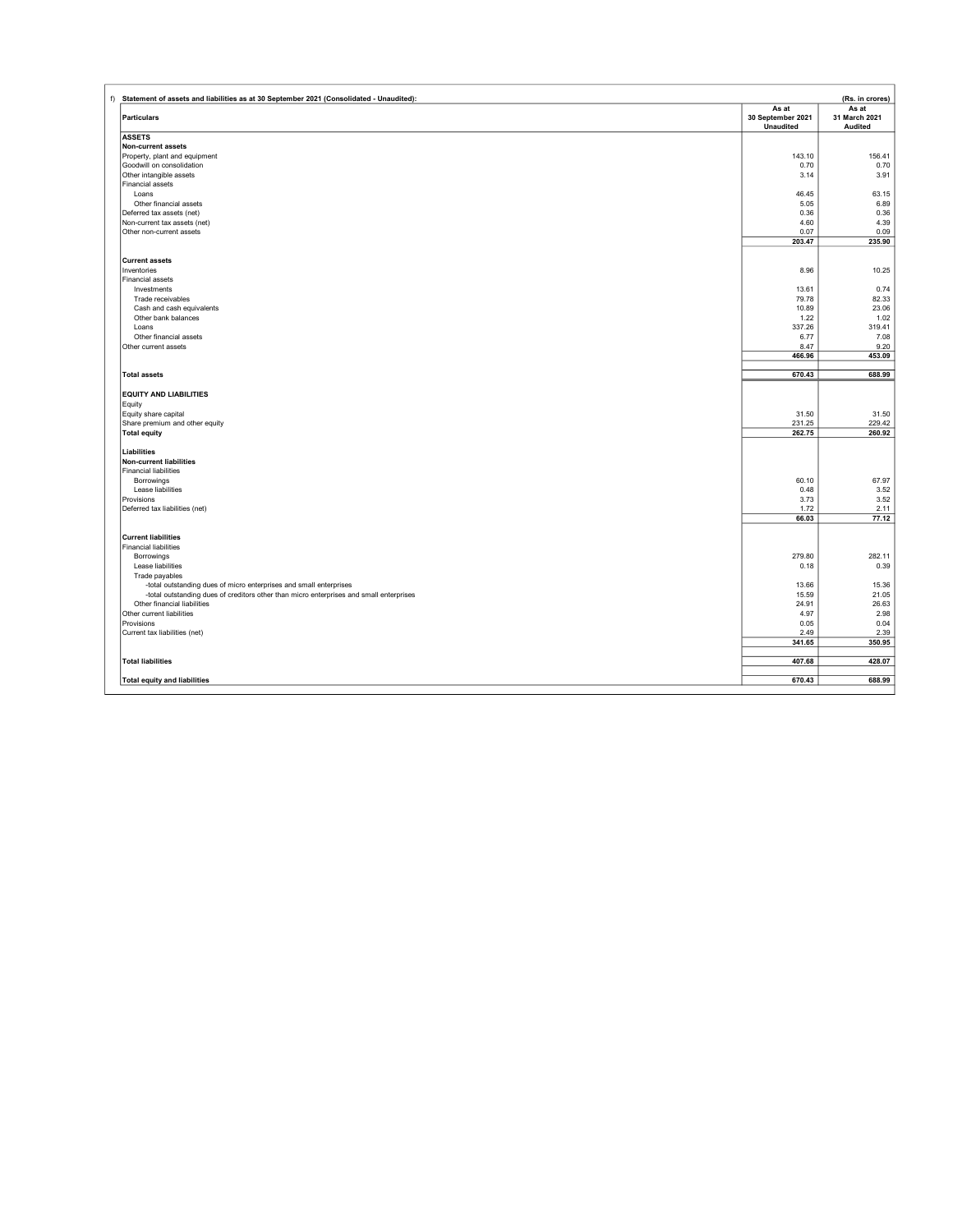| f) Statement of assets and liabilities as at 30 September 2021 (Consolidated - Unaudited): |                                                | (Rs. in crores)                          |
|--------------------------------------------------------------------------------------------|------------------------------------------------|------------------------------------------|
| <b>Particulars</b>                                                                         | As at<br>30 September 2021<br><b>Unaudited</b> | As at<br>31 March 2021<br><b>Audited</b> |
| <b>ASSETS</b>                                                                              |                                                |                                          |
| Non-current assets                                                                         |                                                |                                          |
| Property, plant and equipment                                                              | 143.10                                         | 156.41                                   |
| Goodwill on consolidation                                                                  | 0.70                                           | 0.70                                     |
| Other intangible assets<br>Financial assets                                                | 3.14                                           | 3.91                                     |
| Loans                                                                                      | 46.45                                          | 63.15                                    |
| Other financial assets                                                                     | 5.05                                           | 6.89                                     |
| Deferred tax assets (net)                                                                  | 0.36                                           | 0.36                                     |
| Non-current tax assets (net)                                                               | 4.60                                           | 4.39                                     |
| Other non-current assets                                                                   | 0.07                                           | 0.09                                     |
|                                                                                            | 203.47                                         | 235.90                                   |
|                                                                                            |                                                |                                          |
| <b>Current assets</b><br>Inventories                                                       |                                                |                                          |
| <b>Financial assets</b>                                                                    | 8.96                                           | 10.25                                    |
| Investments                                                                                | 13.61                                          | 0.74                                     |
| Trade receivables                                                                          | 79.78                                          | 82.33                                    |
| Cash and cash equivalents                                                                  | 10.89                                          | 23.06                                    |
| Other bank balances                                                                        | 1.22                                           | 1.02                                     |
| Loans                                                                                      | 337.26                                         | 319.41                                   |
| Other financial assets                                                                     | 6.77                                           | 7.08                                     |
| Other current assets                                                                       | 8.47                                           | 9.20                                     |
|                                                                                            | 466.96                                         | 453.09                                   |
| <b>Total assets</b>                                                                        | 670.43                                         | 688.99                                   |
|                                                                                            |                                                |                                          |
| <b>EQUITY AND LIABILITIES</b>                                                              |                                                |                                          |
| Equity                                                                                     |                                                |                                          |
| Equity share capital                                                                       | 31.50                                          | 31.50                                    |
| Share premium and other equity                                                             | 231.25                                         | 229.42                                   |
| <b>Total equity</b>                                                                        | 262.75                                         | 260.92                                   |
| Liabilities                                                                                |                                                |                                          |
| <b>Non-current liabilities</b>                                                             |                                                |                                          |
| <b>Financial liabilities</b>                                                               |                                                |                                          |
| Borrowings                                                                                 | 60.10                                          | 67.97                                    |
| Lease liabilities                                                                          | 0.48                                           | 3.52                                     |
| Provisions                                                                                 | 3.73                                           | 3.52                                     |
| Deferred tax liabilities (net)                                                             | 1.72                                           | 2.11                                     |
|                                                                                            | 66.03                                          | 77.12                                    |
| <b>Current liabilities</b>                                                                 |                                                |                                          |
| <b>Financial liabilities</b>                                                               |                                                |                                          |
| Borrowings                                                                                 | 279.80                                         | 282.11                                   |
| Lease liabilities                                                                          | 0.18                                           | 0.39                                     |
| Trade payables                                                                             |                                                |                                          |
| -total outstanding dues of micro enterprises and small enterprises                         | 13.66                                          | 15.36                                    |
| -total outstanding dues of creditors other than micro enterprises and small enterprises    | 15.59                                          | 21.05                                    |
| Other financial liabilities                                                                | 24.91                                          | 26.63                                    |
| Other current liabilities                                                                  | 4.97                                           | 2.98                                     |
| Provisions                                                                                 | 0.05                                           | 0.04                                     |
| Current tax liabilities (net)                                                              | 2.49                                           | 2.39                                     |
|                                                                                            | 341.65                                         | 350.95                                   |
| <b>Total liabilities</b>                                                                   | 407.68                                         | 428.07                                   |
| <b>Total equity and liabilities</b>                                                        | 670.43                                         | 688.99                                   |
|                                                                                            |                                                |                                          |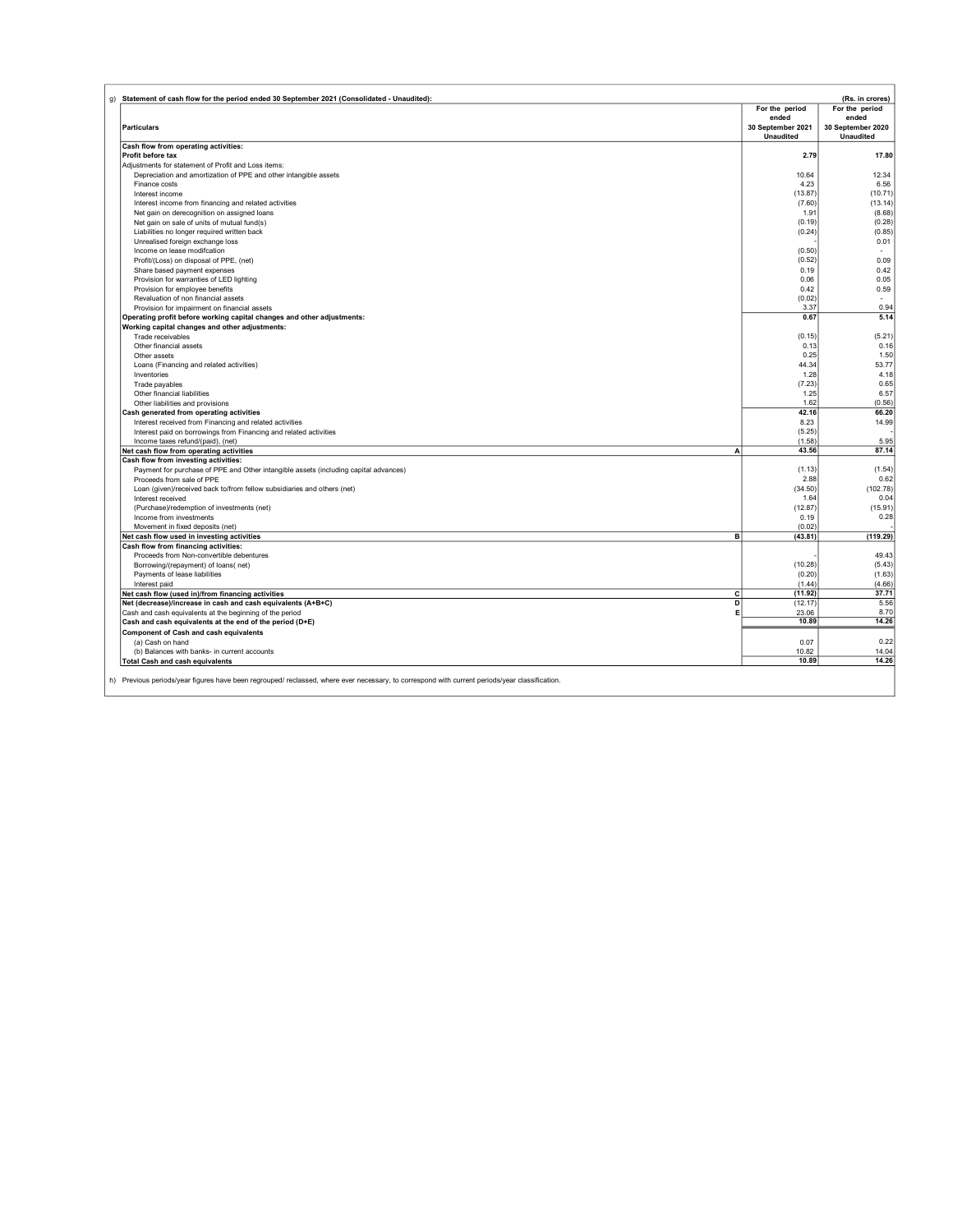| g) Statement of cash flow for the period ended 30 September 2021 (Consolidated - Unaudited):                                                   |                                       | (Rs. in crores)                       |
|------------------------------------------------------------------------------------------------------------------------------------------------|---------------------------------------|---------------------------------------|
|                                                                                                                                                | For the period<br>ended               | For the period<br>ended               |
| <b>Particulars</b>                                                                                                                             | 30 September 2021<br><b>Unaudited</b> | 30 September 2020<br><b>Unaudited</b> |
| Cash flow from operating activities:                                                                                                           |                                       |                                       |
| Profit before tax                                                                                                                              | 2.79                                  | 17.80                                 |
| Adjustments for statement of Profit and Loss items:                                                                                            |                                       |                                       |
| Depreciation and amortization of PPE and other intangible assets                                                                               | 10.64                                 | 12.34                                 |
| Finance costs                                                                                                                                  | 4.23                                  | 6.56                                  |
| Interest income                                                                                                                                | (13.87)                               | (10.71)                               |
| Interest income from financing and related activities                                                                                          | (7.60)<br>1.91                        | (13.14)<br>(8.68)                     |
| Net gain on derecognition on assigned loans<br>Net gain on sale of units of mutual fund(s)                                                     | (0.19)                                | (0.28)                                |
| Liabilities no longer required written back                                                                                                    | (0.24)                                | (0.85)                                |
| Unrealised foreign exchange loss                                                                                                               |                                       | 0.01                                  |
| Income on lease modifcation                                                                                                                    | (0.50)                                |                                       |
| Profit/(Loss) on disposal of PPE, (net)                                                                                                        | (0.52)                                | 0.09                                  |
| Share based payment expenses                                                                                                                   | 0.19                                  | 0.42                                  |
| Provision for warranties of LED lighting                                                                                                       | 0.06                                  | 0.05                                  |
| Provision for employee benefits                                                                                                                | 0.42                                  | 0.59                                  |
| Revaluation of non financial assets                                                                                                            | (0.02)                                |                                       |
| Provision for impairment on financial assets                                                                                                   | 3.37                                  | 0.94                                  |
| Operating profit before working capital changes and other adjustments:                                                                         | 0.67                                  | 5.14                                  |
| Working capital changes and other adjustments:                                                                                                 |                                       |                                       |
| Trade receivables                                                                                                                              | (0.15)                                | (5.21)                                |
| Other financial assets<br>Other assets                                                                                                         | 0.13<br>0.25                          | 0.16<br>1.50                          |
| Loans (Financing and related activities)                                                                                                       | 44.34                                 | 53.77                                 |
| Inventories                                                                                                                                    | 1.28                                  | 4.18                                  |
| Trade payables                                                                                                                                 | (7.23)                                | 0.65                                  |
| Other financial liabilities                                                                                                                    | 1.25                                  | 6.57                                  |
| Other liabilities and provisions                                                                                                               | 1.62                                  | (0.56)                                |
| Cash generated from operating activities                                                                                                       | 42.16                                 | 66.20                                 |
| Interest received from Financing and related activities                                                                                        | 8.23                                  | 14.99                                 |
| Interest paid on borrowings from Financing and related activities                                                                              | (5.25)                                |                                       |
| Income taxes refund/(paid), (net)                                                                                                              | (1.58)                                | 5.95                                  |
| Net cash flow from operating activities<br>A                                                                                                   | 43.56                                 | 87.14                                 |
| Cash flow from investing activities:                                                                                                           |                                       |                                       |
| Payment for purchase of PPE and Other intangible assets (including capital advances)                                                           | (1.13)<br>2.88                        | (1.54)<br>0.62                        |
| Proceeds from sale of PPE                                                                                                                      | (34.50)                               | (102.78)                              |
| Loan (given)/received back to/from fellow subsidiaries and others (net)<br>Interest received                                                   | 1.64                                  | 0.04                                  |
| (Purchase)/redemption of investments (net)                                                                                                     | (12.87)                               | (15.91)                               |
| Income from investments                                                                                                                        | 0.19                                  | 0.28                                  |
| Movement in fixed deposits (net)                                                                                                               | (0.02)                                |                                       |
| в<br>Net cash flow used in investing activities                                                                                                | (43.81)                               | (119.29)                              |
| Cash flow from financing activities:                                                                                                           |                                       |                                       |
| Proceeds from Non-convertible debentures                                                                                                       |                                       | 49.43                                 |
| Borrowing/(repayment) of loans(net)                                                                                                            | (10.28)                               | (5.43)                                |
| Payments of lease liabilities                                                                                                                  | (0.20)                                | (1.63)                                |
| Interest paid<br>Net cash flow (used in)/from financing activities                                                                             | (1.44)<br>(11.92)                     | (4.66)<br>37.71                       |
| с<br>D<br>Net (decrease)/increase in cash and cash equivalents (A+B+C)                                                                         | (12.17)                               | 5.56                                  |
| Е<br>Cash and cash equivalents at the beginning of the period                                                                                  | 23.06                                 | 8.70                                  |
| Cash and cash equivalents at the end of the period (D+E)                                                                                       | 10.89                                 | 14.26                                 |
| Component of Cash and cash equivalents                                                                                                         |                                       |                                       |
| (a) Cash on hand                                                                                                                               | 0.07                                  | 0.22                                  |
| (b) Balances with banks- in current accounts                                                                                                   | 10.82                                 | 14.04                                 |
| <b>Total Cash and cash equivalents</b>                                                                                                         | 10.89                                 | 14.26                                 |
|                                                                                                                                                |                                       |                                       |
| h) Previous periods/year figures have been regrouped/ reclassed, where ever necessary, to correspond with current periods/year classification. |                                       |                                       |
|                                                                                                                                                |                                       |                                       |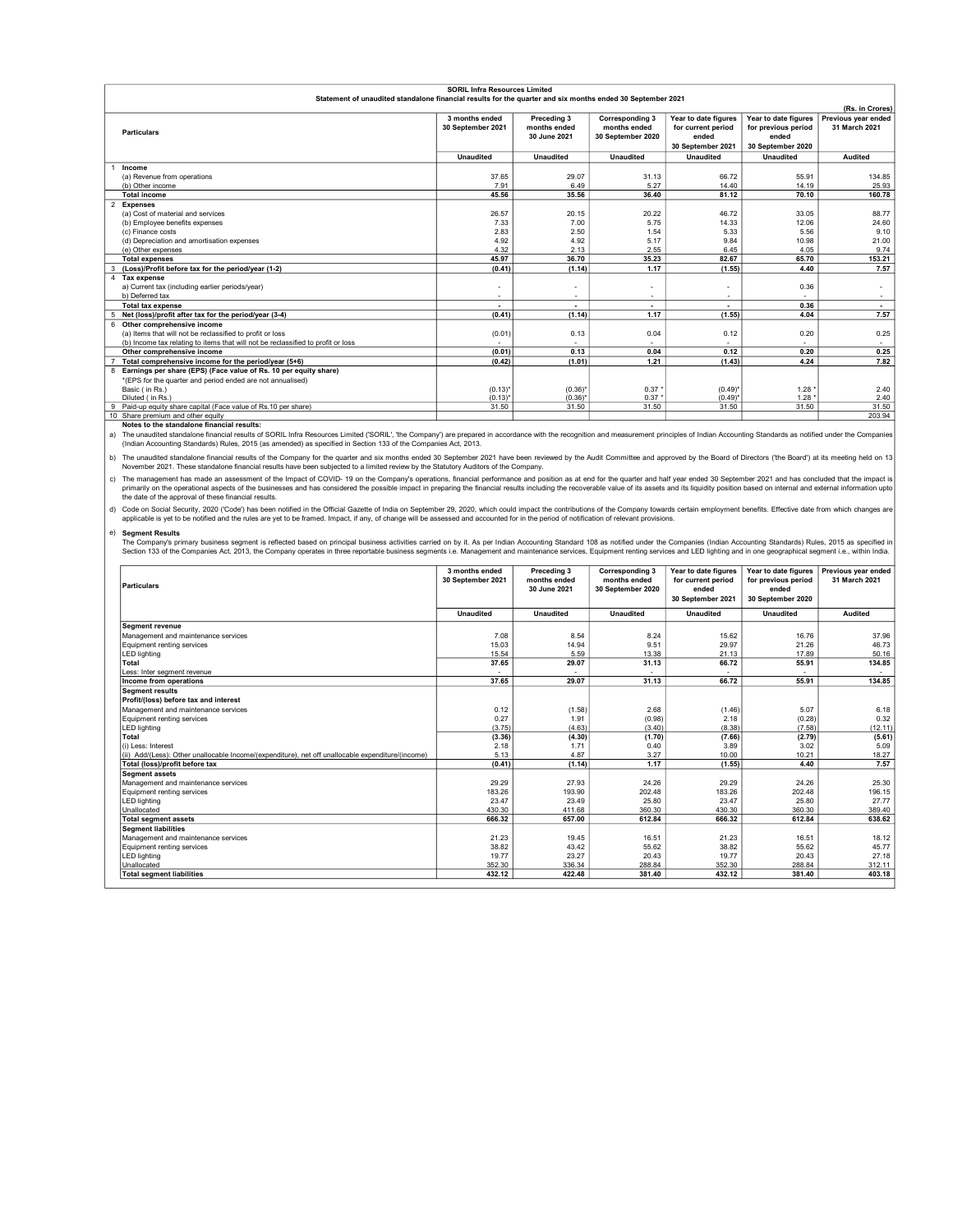|                                                                                                            | <b>SORIL Infra Resources Limited</b> |                          |                        |                          |                      |                     |
|------------------------------------------------------------------------------------------------------------|--------------------------------------|--------------------------|------------------------|--------------------------|----------------------|---------------------|
| Statement of unaudited standalone financial results for the quarter and six months ended 30 September 2021 |                                      |                          |                        |                          |                      |                     |
|                                                                                                            |                                      |                          |                        |                          |                      | (Rs. in Crores)     |
|                                                                                                            | 3 months ended                       | Preceding 3              | <b>Corresponding 3</b> | Year to date figures     | Year to date figures | Previous vear ended |
| <b>Particulars</b>                                                                                         | 30 September 2021                    | months ended             | months ended           | for current period       | for previous period  | 31 March 2021       |
|                                                                                                            |                                      | 30 June 2021             | 30 September 2020      | ended                    | ended                |                     |
|                                                                                                            |                                      |                          |                        | 30 September 2021        | 30 September 2020    |                     |
|                                                                                                            | <b>Unaudited</b>                     | <b>Unaudited</b>         | <b>Unaudited</b>       | <b>Unaudited</b>         | <b>Unaudited</b>     | <b>Audited</b>      |
| Income                                                                                                     |                                      |                          |                        |                          |                      |                     |
| (a) Revenue from operations                                                                                | 37.65                                | 29.07                    | 31.13                  | 66.72                    | 55.91                | 134.85              |
| (b) Other income                                                                                           | 7.91                                 | 6.49                     | 5.27                   | 14.40                    | 14.19                | 25.93               |
| <b>Total income</b>                                                                                        | 45.56                                | 35.56                    | 36.40                  | 81.12                    | 70.10                | 160.78              |
| <b>Expenses</b>                                                                                            |                                      |                          |                        |                          |                      |                     |
| (a) Cost of material and services                                                                          | 26.57                                | 20.15                    | 20.22                  | 46.72                    | 33.05                | 88.77               |
| (b) Employee benefits expenses                                                                             | 7.33                                 | 7.00                     | 5.75                   | 14.33                    | 12.06                | 24.60               |
| (c) Finance costs                                                                                          | 2.83                                 | 2.50                     | 1.54                   | 5.33                     | 5.56                 | 9.10                |
| (d) Depreciation and amortisation expenses                                                                 | 4.92                                 | 4.92                     | 5.17                   | 9.84                     | 10.98                | 21.00               |
| (e) Other expenses                                                                                         | 4.32                                 | 2.13                     | 2.55                   | 6.45                     | 4.05                 | 9.74                |
| <b>Total expenses</b>                                                                                      | 45.97                                | 36.70                    | 35.23                  | 82.67                    | 65.70                | 153.21              |
| (Loss)/Profit before tax for the period/year (1-2)                                                         | (0.41)                               | (1.14)                   | 1.17                   | (1.55)                   | 4.40                 | 7.57                |
| 4 Tax expense                                                                                              |                                      |                          |                        |                          |                      |                     |
| a) Current tax (including earlier periods/year)                                                            |                                      |                          |                        |                          | 0.36                 | ۰.                  |
| b) Deferred tax                                                                                            | $\overline{\phantom{a}}$             |                          | $\sim$                 |                          |                      |                     |
| <b>Total tax expense</b>                                                                                   | ٠                                    | $\overline{\phantom{a}}$ |                        | $\overline{\phantom{a}}$ | 0.36                 | $\sim$              |
| Net (loss)/profit after tax for the period/year (3-4)<br>5                                                 | (0.41)                               | (1.14)                   | 1.17                   | (1.55)                   | 4.04                 | 7.57                |
| 6 Other comprehensive income                                                                               |                                      |                          |                        |                          |                      |                     |
| (a) Items that will not be reclassified to profit or loss                                                  | (0.01)                               | 0.13                     | 0.04                   | 0.12                     | 0.20                 | 0.25                |
| (b) Income tax relating to items that will not be reclassified to profit or loss                           |                                      |                          |                        |                          |                      |                     |
| Other comprehensive income                                                                                 | (0.01)                               | 0.13                     | 0.04                   | 0.12                     | 0.20                 | 0.25                |
| Total comprehensive income for the period/year (5+6)                                                       | (0.42)                               | (1.01)                   | 1.21                   | (1.43)                   | 4.24                 | 7.82                |
| Earnings per share (EPS) (Face value of Rs. 10 per equity share)<br>8                                      |                                      |                          |                        |                          |                      |                     |
| *(EPS for the quarter and period ended are not annualised)                                                 |                                      |                          |                        |                          |                      |                     |
| Basic (in Rs.)                                                                                             | $(0.13)^{*}$                         | $(0.36)^*$               | 0.37                   | $(0.49)^{*}$             | 1.28                 | 2.40                |
| Diluted (in Rs.)                                                                                           | $(0.13)^*$                           | $(0.36)^*$               | 0.37'                  | $(0.49)^*$               | 1.28                 | 2.40                |
| Paid-up equity share capital (Face value of Rs.10 per share)                                               | 31.50                                | 31.50                    | 31.50                  | 31.50                    | 31.50                | 31.50               |
| 10 Share premium and other equity                                                                          |                                      |                          |                        |                          |                      | 203.94              |

Share premium and other equity<br>Notes to the standalone financial results:

a) The unaudited standalone financial results of SORIL Infra Resources Limited ('SORIL', 'the Company') are prepared in accordance with the recognition and measurement principles of Indian Accounting Standards as notified und

b) The unaudited standalone financial results of the Company for the quarter and six months ended 30 September 2021 have been reviewed by the Audit Committee and approved by the Board of Directors ('the Board') at its meet

c) The management has made an assessment of the Impact of COVID- 19 on the Company's operations, financial performance and position as at end for the quarter and half year ended 30 September 2021 and has concluded that the

d) Code on Social Security, 2020 (Code') has been notified in the Official Gazette of India on September 29, 2020, which could impact the contributions of the Company towards certain employment benefits. Effective date fro

e) Segment Results<br>The Company's primary business segment is reflected based on principal business activities carried on by it. As per Indian Accounting Standard 108 as notified under the Companies (Indian Accounting Stand

| <b>Particulars</b>                                                                                | 3 months ended<br>30 September 2021 | Preceding 3<br>months ended<br>30 June 2021 | <b>Corresponding 3</b><br>months ended<br>30 September 2020 | Year to date figures<br>for current period<br>ended<br>30 September 2021 | Year to date figures<br>for previous period<br>ended<br>30 September 2020 | Previous year ended<br>31 March 2021 |
|---------------------------------------------------------------------------------------------------|-------------------------------------|---------------------------------------------|-------------------------------------------------------------|--------------------------------------------------------------------------|---------------------------------------------------------------------------|--------------------------------------|
|                                                                                                   | <b>Unaudited</b>                    | <b>Unaudited</b>                            | <b>Unaudited</b>                                            | <b>Unaudited</b>                                                         | <b>Unaudited</b>                                                          | Audited                              |
| <b>Segment revenue</b>                                                                            |                                     |                                             |                                                             |                                                                          |                                                                           |                                      |
| Management and maintenance services                                                               | 7.08                                | 8.54                                        | 8.24                                                        | 15.62                                                                    | 16.76                                                                     | 37.96                                |
| Equipment renting services                                                                        | 15.03                               | 14.94                                       | 9.51                                                        | 29.97                                                                    | 21.26                                                                     | 46.73                                |
| <b>LED lighting</b>                                                                               | 15.54                               | 5.59                                        | 13.38                                                       | 21.13                                                                    | 17.89                                                                     | 50.16                                |
| Total                                                                                             | 37.65                               | 29.07                                       | 31.13                                                       | 66.72                                                                    | 55.91                                                                     | 134.85                               |
| Less: Inter seament revenue                                                                       |                                     |                                             |                                                             |                                                                          |                                                                           |                                      |
| Income from operations                                                                            | 37.65                               | 29.07                                       | 31.13                                                       | 66.72                                                                    | 55.91                                                                     | 134.85                               |
| <b>Segment results</b>                                                                            |                                     |                                             |                                                             |                                                                          |                                                                           |                                      |
| Profit/(loss) before tax and interest                                                             |                                     |                                             |                                                             |                                                                          |                                                                           |                                      |
| Management and maintenance services                                                               | 0.12                                | (1.58)                                      | 2.68                                                        | (1.46)                                                                   | 5.07                                                                      | 6.18                                 |
| Equipment renting services                                                                        | 0.27                                | 1.91                                        | (0.98)                                                      | 2.18                                                                     | (0.28)                                                                    | 0.32                                 |
| <b>LED lighting</b>                                                                               | (3.75)                              | (4.63)                                      | (3.40)                                                      | (8.38)                                                                   | (7.58)                                                                    | (12.11)                              |
| Total                                                                                             | (3.36)                              | (4.30)                                      | (1.70)                                                      | (7.66)                                                                   | (2.79)                                                                    | (5.61)                               |
| (i) Less: Interest                                                                                | 2.18                                | 1.71                                        | 0.40                                                        | 3.89                                                                     | 3.02                                                                      | 5.09                                 |
| (ii) Add/(Less): Other unallocable Income/(expenditure), net off unallocable expenditure/(income) | 5.13                                | 4.87                                        | 3.27                                                        | 10.00                                                                    | 10.21                                                                     | 18.27                                |
| Total (loss)/profit before tax                                                                    | (0.41)                              | (1.14)                                      | 1.17                                                        | (1.55)                                                                   | 4.40                                                                      | 7.57                                 |
| <b>Seament assets</b>                                                                             |                                     |                                             |                                                             |                                                                          |                                                                           |                                      |
| Management and maintenance services                                                               | 29.29                               | 27.93                                       | 24.26                                                       | 29.29                                                                    | 24.26                                                                     | 25.30                                |
| Equipment renting services                                                                        | 183.26                              | 193.90                                      | 202.48                                                      | 183.26                                                                   | 202.48                                                                    | 196.15                               |
| <b>LED lighting</b>                                                                               | 23.47                               | 23.49                                       | 25.80                                                       | 23.47                                                                    | 25.80                                                                     | 27.77                                |
| Unallocated                                                                                       | 430.30                              | 411.68                                      | 360.30                                                      | 430.30                                                                   | 360.30                                                                    | 389.40                               |
| <b>Total segment assets</b>                                                                       | 666.32                              | 657.00                                      | 612.84                                                      | 666.32                                                                   | 612.84                                                                    | 638.62                               |
| <b>Seament liabilities</b>                                                                        |                                     |                                             |                                                             |                                                                          |                                                                           |                                      |
| Management and maintenance services                                                               | 21.23                               | 19.45                                       | 16.51                                                       | 21.23                                                                    | 16.51                                                                     | 18.12                                |
| Equipment renting services                                                                        | 38.82                               | 43.42                                       | 55.62                                                       | 38.82                                                                    | 55.62                                                                     | 45.77                                |
| <b>LED lighting</b>                                                                               | 19.77                               | 23.27                                       | 20.43                                                       | 19.77                                                                    | 20.43                                                                     | 27.18                                |
| Unallocated                                                                                       | 352.30                              | 336.34                                      | 288.84                                                      | 352.30                                                                   | 288.84                                                                    | 312.11                               |
| <b>Total segment liabilities</b>                                                                  | 432.12                              | 422.48                                      | 381.40                                                      | 432.12                                                                   | 381.40                                                                    | 403.18                               |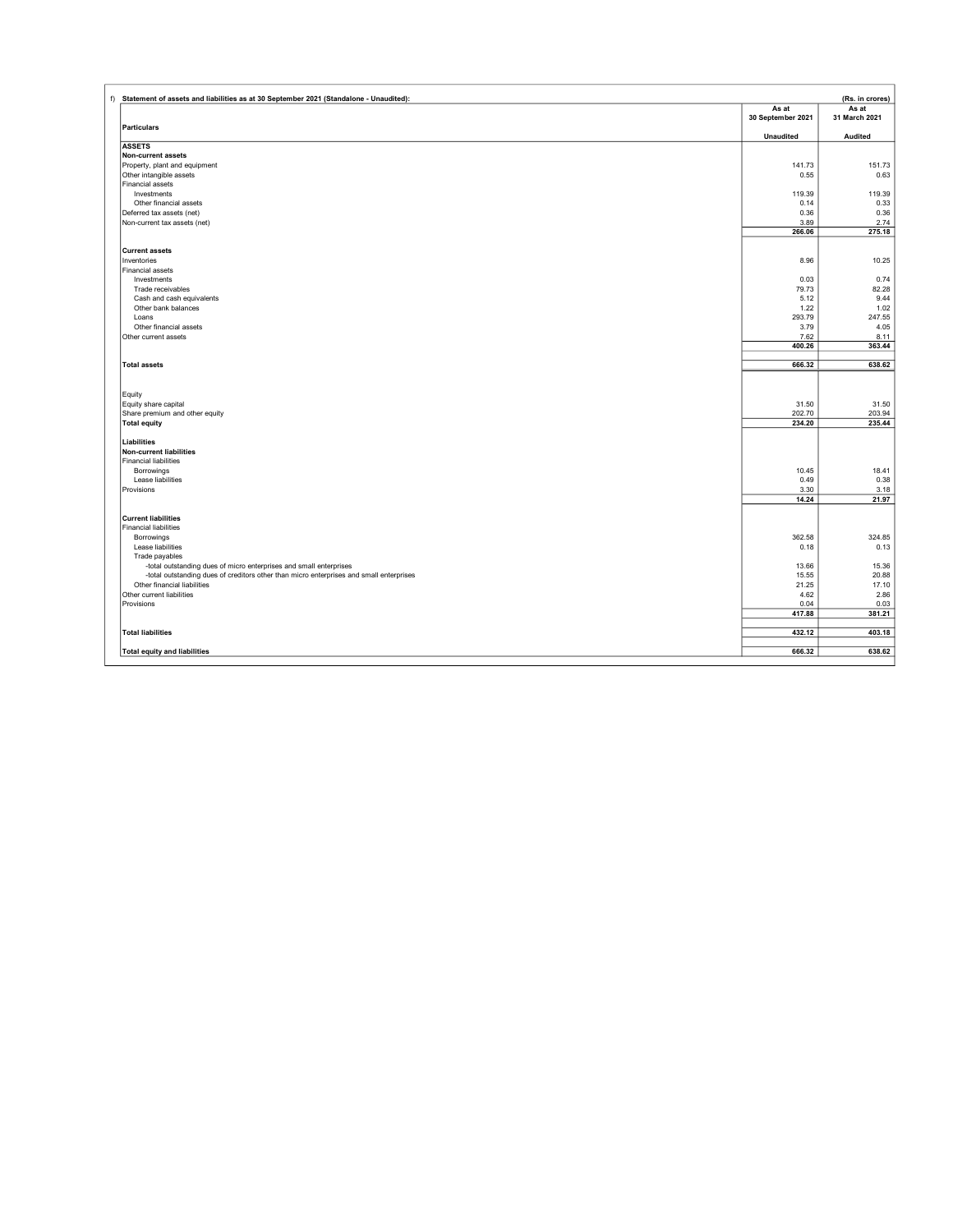| f) Statement of assets and liabilities as at 30 September 2021 (Standalone - Unaudited):                                                                      |                            | (Rs. in crores)        |
|---------------------------------------------------------------------------------------------------------------------------------------------------------------|----------------------------|------------------------|
|                                                                                                                                                               | As at<br>30 September 2021 | As at<br>31 March 2021 |
| <b>Particulars</b>                                                                                                                                            | <b>Unaudited</b>           | Audited                |
| <b>ASSETS</b>                                                                                                                                                 |                            |                        |
| Non-current assets                                                                                                                                            |                            |                        |
| Property, plant and equipment                                                                                                                                 | 141.73                     | 151.73                 |
| Other intangible assets                                                                                                                                       | 0.55                       | 0.63                   |
| Financial assets                                                                                                                                              |                            |                        |
| Investments                                                                                                                                                   | 119.39                     | 119.39                 |
| Other financial assets                                                                                                                                        | 0.14                       | 0.33                   |
| Deferred tax assets (net)                                                                                                                                     | 0.36<br>3.89               | 0.36<br>2.74           |
| Non-current tax assets (net)                                                                                                                                  | 266.06                     | 275.18                 |
|                                                                                                                                                               |                            |                        |
| <b>Current assets</b>                                                                                                                                         |                            |                        |
| Inventories                                                                                                                                                   | 8.96                       | 10.25                  |
| Financial assets                                                                                                                                              |                            |                        |
| Investments                                                                                                                                                   | 0.03                       | 0.74                   |
| Trade receivables                                                                                                                                             | 79.73                      | 82.28                  |
| Cash and cash equivalents                                                                                                                                     | 5.12                       | 9.44                   |
| Other bank balances                                                                                                                                           | 1.22                       | 1.02                   |
| Loans<br>Other financial assets                                                                                                                               | 293.79<br>3.79             | 247.55<br>4.05         |
| Other current assets                                                                                                                                          | 7.62                       | 8.11                   |
|                                                                                                                                                               | 400.26                     | 363.44                 |
|                                                                                                                                                               |                            |                        |
| <b>Total assets</b>                                                                                                                                           | 666.32                     | 638.62                 |
|                                                                                                                                                               |                            |                        |
| Equity                                                                                                                                                        |                            |                        |
| Equity share capital                                                                                                                                          | 31.50                      | 31.50                  |
| Share premium and other equity                                                                                                                                | 202.70                     | 203.94                 |
| <b>Total equity</b>                                                                                                                                           | 234.20                     | 235.44                 |
|                                                                                                                                                               |                            |                        |
| Liabilities                                                                                                                                                   |                            |                        |
| Non-current liabilities<br><b>Financial liabilities</b>                                                                                                       |                            |                        |
| Borrowings                                                                                                                                                    | 10.45                      | 18.41                  |
| Lease liabilities                                                                                                                                             | 0.49                       | 0.38                   |
| Provisions                                                                                                                                                    | 3.30                       | 3.18                   |
|                                                                                                                                                               | 14.24                      | 21.97                  |
|                                                                                                                                                               |                            |                        |
| <b>Current liabilities</b>                                                                                                                                    |                            |                        |
| <b>Financial liabilities</b>                                                                                                                                  |                            |                        |
| Borrowings                                                                                                                                                    | 362.58                     | 324.85                 |
| Lease liabilities                                                                                                                                             | 0.18                       | 0.13                   |
| Trade payables                                                                                                                                                |                            |                        |
| -total outstanding dues of micro enterprises and small enterprises<br>-total outstanding dues of creditors other than micro enterprises and small enterprises | 13.66<br>15.55             | 15.36<br>20.88         |
| Other financial liabilities                                                                                                                                   | 21.25                      | 17.10                  |
| Other current liabilities                                                                                                                                     | 4.62                       | 2.86                   |
| Provisions                                                                                                                                                    | 0.04                       | 0.03                   |
|                                                                                                                                                               | 417.88                     | 381.21                 |
|                                                                                                                                                               |                            |                        |
| <b>Total liabilities</b>                                                                                                                                      | 432.12                     | 403.18                 |
| <b>Total equity and liabilities</b>                                                                                                                           | 666.32                     | 638.62                 |
|                                                                                                                                                               |                            |                        |